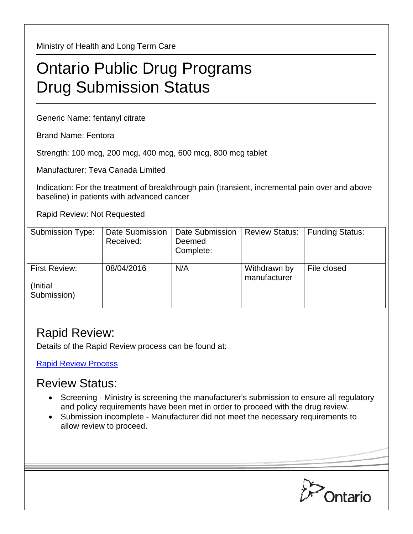Ministry of Health and Long Term Care

## Ontario Public Drug Programs Drug Submission Status

Generic Name: fentanyl citrate

Brand Name: Fentora

Strength: 100 mcg, 200 mcg, 400 mcg, 600 mcg, 800 mcg tablet

Manufacturer: Teva Canada Limited

Indication: For the treatment of breakthrough pain (transient, incremental pain over and above baseline) in patients with advanced cancer

Rapid Review: Not Requested

| Submission Type:                                 | Date Submission<br>Received: | Date Submission<br>Deemed<br>Complete: | <b>Review Status:</b>        | <b>Funding Status:</b> |
|--------------------------------------------------|------------------------------|----------------------------------------|------------------------------|------------------------|
| <b>First Review:</b><br>(Initial)<br>Submission) | 08/04/2016                   | N/A                                    | Withdrawn by<br>manufacturer | File closed            |

## Rapid Review:

Details of the Rapid Review process can be found at:

[Rapid Review Process](http://www.health.gov.on.ca/en/pro/programs/drugs/drug_submissions/rapid_review_process.aspx)

## Review Status:

- Screening Ministry is screening the manufacturer's submission to ensure all regulatory and policy requirements have been met in order to proceed with the drug review.
- Submission incomplete Manufacturer did not meet the necessary requirements to allow review to proceed.